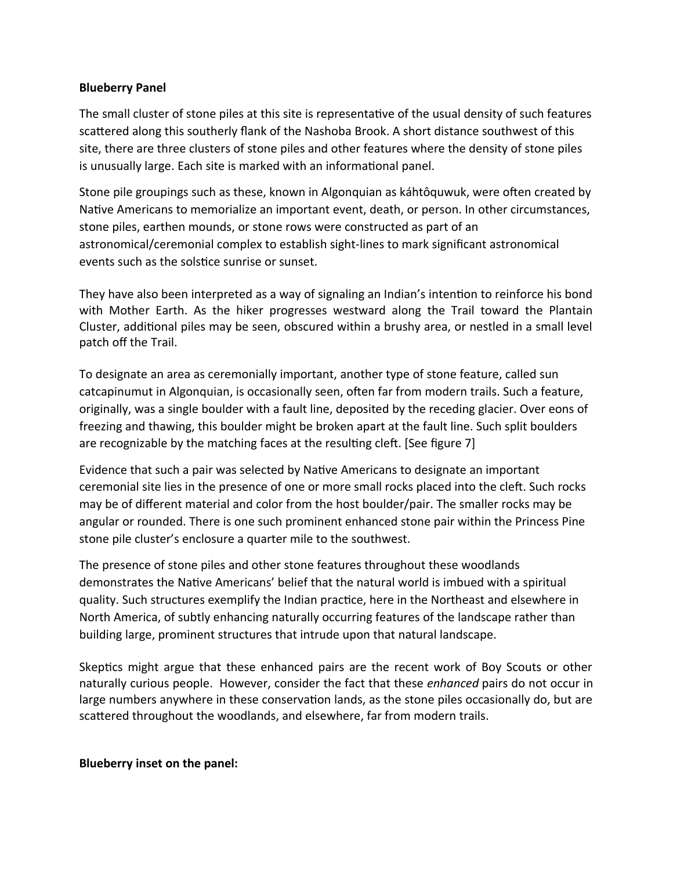## **Blueberry Panel**

The small cluster of stone piles at this site is representative of the usual density of such features scattered along this southerly flank of the Nashoba Brook. A short distance southwest of this site, there are three clusters of stone piles and other features where the density of stone piles is unusually large. Each site is marked with an informational panel.

Stone pile groupings such as these, known in Algonquian as káhtôquwuk, were often created by Native Americans to memorialize an important event, death, or person. In other circumstances, stone piles, earthen mounds, or stone rows were constructed as part of an astronomical/ceremonial complex to establish sight-lines to mark significant astronomical events such as the solstice sunrise or sunset.

They have also been interpreted as a way of signaling an Indian's intention to reinforce his bond with Mother Earth. As the hiker progresses westward along the Trail toward the Plantain Cluster, additional piles may be seen, obscured within a brushy area, or nestled in a small level patch off the Trail.

To designate an area as ceremonially important, another type of stone feature, called sun catcapinumut in Algonquian, is occasionally seen, often far from modern trails. Such a feature, originally, was a single boulder with a fault line, deposited by the receding glacier. Over eons of freezing and thawing, this boulder might be broken apart at the fault line. Such split boulders are recognizable by the matching faces at the resulting cleft. [See figure 7]

Evidence that such a pair was selected by Native Americans to designate an important ceremonial site lies in the presence of one or more small rocks placed into the cleft. Such rocks may be of different material and color from the host boulder/pair. The smaller rocks may be angular or rounded. There is one such prominent enhanced stone pair within the Princess Pine stone pile cluster's enclosure a quarter mile to the southwest.

The presence of stone piles and other stone features throughout these woodlands demonstrates the Native Americans' belief that the natural world is imbued with a spiritual quality. Such structures exemplify the Indian practice, here in the Northeast and elsewhere in North America, of subtly enhancing naturally occurring features of the landscape rather than building large, prominent structures that intrude upon that natural landscape.

Skeptics might argue that these enhanced pairs are the recent work of Boy Scouts or other naturally curious people. However, consider the fact that these *enhanced* pairs do not occur in large numbers anywhere in these conservation lands, as the stone piles occasionally do, but are scattered throughout the woodlands, and elsewhere, far from modern trails.

## **Blueberry inset on the panel:**